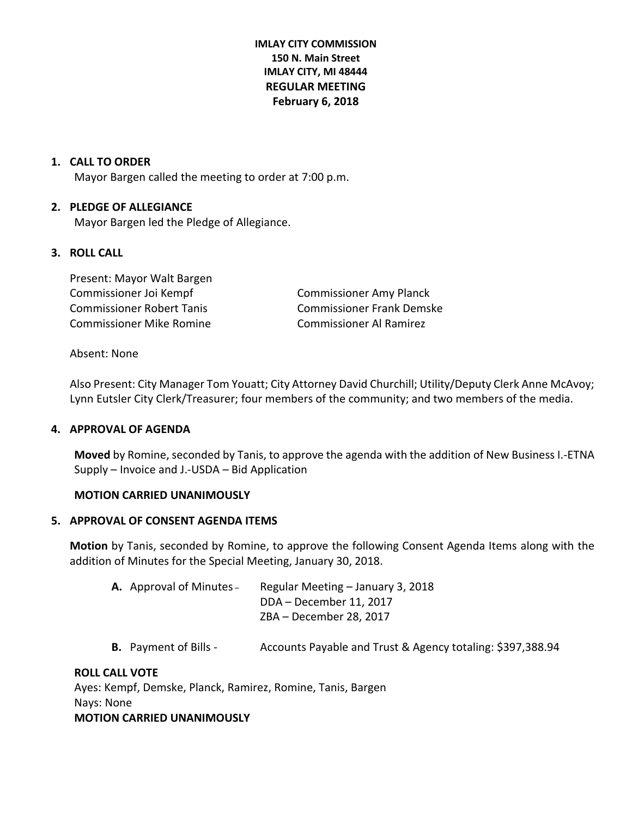**IMLAY CITY COMMISSION 150 N. Main Street IMLAY CITY, MI 48444 REGULAR MEETING February 6, 2018**

## **1. CALL TO ORDER**

Mayor Bargen called the meeting to order at 7:00 p.m.

## **2. PLEDGE OF ALLEGIANCE**

Mayor Bargen led the Pledge of Allegiance.

## **3. ROLL CALL**

Present: Mayor Walt Bargen Commissioner Joi Kempf Commissioner Amy Planck Commissioner Robert Tanis Commissioner Frank Demske Commissioner Mike Romine Commissioner Al Ramirez

#### Absent: None

Also Present: City Manager Tom Youatt; City Attorney David Churchill; Utility/Deputy Clerk Anne McAvoy; Lynn Eutsler City Clerk/Treasurer; four members of the community; and two members of the media.

#### **4. APPROVAL OF AGENDA**

**Moved** by Romine, seconded by Tanis, to approve the agenda with the addition of New Business I.-ETNA Supply – Invoice and J.-USDA – Bid Application

#### **MOTION CARRIED UNANIMOUSLY**

#### **5. APPROVAL OF CONSENT AGENDA ITEMS**

**Motion** by Tanis, seconded by Romine, to approve the following Consent Agenda Items along with the addition of Minutes for the Special Meeting, January 30, 2018.

| <b>A.</b> Approval of Minutes – | Regular Meeting – January 3, 2018 |
|---------------------------------|-----------------------------------|
|                                 | DDA – December 11, 2017           |
|                                 | ZBA - December 28, 2017           |

**B.** Payment of Bills - Accounts Payable and Trust & Agency totaling: \$397,388.94

#### **ROLL CALL VOTE**

Ayes: Kempf, Demske, Planck, Ramirez, Romine, Tanis, Bargen Nays: None **MOTION CARRIED UNANIMOUSLY**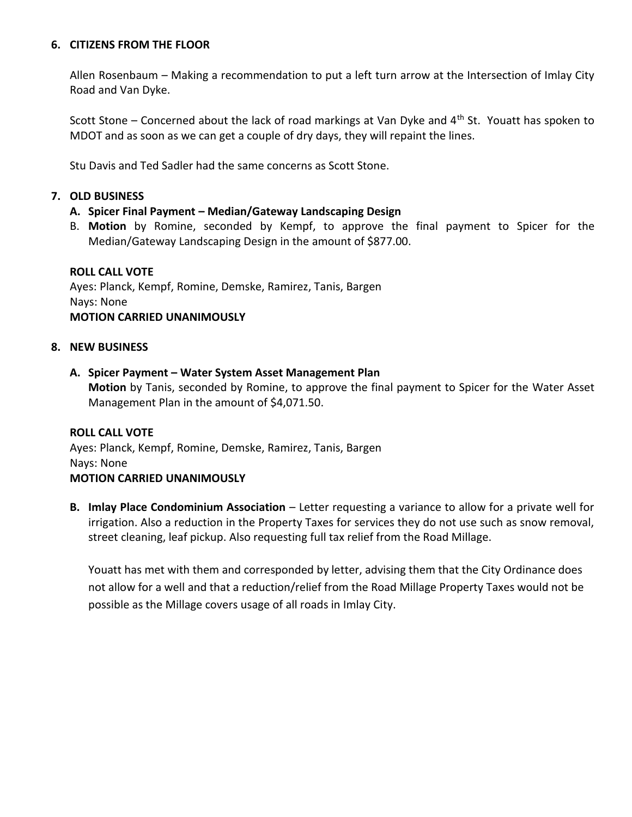# **6. CITIZENS FROM THE FLOOR**

Allen Rosenbaum – Making a recommendation to put a left turn arrow at the Intersection of Imlay City Road and Van Dyke.

Scott Stone – Concerned about the lack of road markings at Van Dyke and 4<sup>th</sup> St. Youatt has spoken to MDOT and as soon as we can get a couple of dry days, they will repaint the lines.

Stu Davis and Ted Sadler had the same concerns as Scott Stone.

# **7. OLD BUSINESS**

# **A. Spicer Final Payment – Median/Gateway Landscaping Design**

B. **Motion** by Romine, seconded by Kempf, to approve the final payment to Spicer for the Median/Gateway Landscaping Design in the amount of \$877.00.

# **ROLL CALL VOTE**

Ayes: Planck, Kempf, Romine, Demske, Ramirez, Tanis, Bargen Nays: None **MOTION CARRIED UNANIMOUSLY**

# **8. NEW BUSINESS**

# **A. Spicer Payment – Water System Asset Management Plan**

**Motion** by Tanis, seconded by Romine, to approve the final payment to Spicer for the Water Asset Management Plan in the amount of \$4,071.50.

# **ROLL CALL VOTE**

Ayes: Planck, Kempf, Romine, Demske, Ramirez, Tanis, Bargen Nays: None **MOTION CARRIED UNANIMOUSLY**

**B. Imlay Place Condominium Association** – Letter requesting a variance to allow for a private well for irrigation. Also a reduction in the Property Taxes for services they do not use such as snow removal, street cleaning, leaf pickup. Also requesting full tax relief from the Road Millage.

Youatt has met with them and corresponded by letter, advising them that the City Ordinance does not allow for a well and that a reduction/relief from the Road Millage Property Taxes would not be possible as the Millage covers usage of all roads in Imlay City.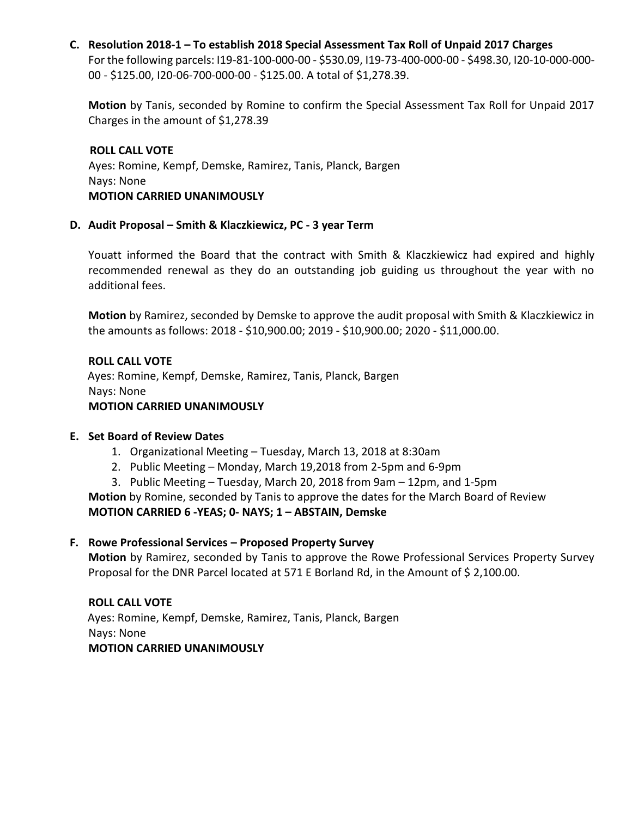# **C. Resolution 2018-1 – To establish 2018 Special Assessment Tax Roll of Unpaid 2017 Charges**

For the following parcels: I19-81-100-000-00 - \$530.09, I19-73-400-000-00 - \$498.30, I20-10-000-000- 00 - \$125.00, I20-06-700-000-00 - \$125.00. A total of \$1,278.39.

**Motion** by Tanis, seconded by Romine to confirm the Special Assessment Tax Roll for Unpaid 2017 Charges in the amount of \$1,278.39

 **ROLL CALL VOTE** Ayes: Romine, Kempf, Demske, Ramirez, Tanis, Planck, Bargen Nays: None  **MOTION CARRIED UNANIMOUSLY**

# **D. Audit Proposal – Smith & Klaczkiewicz, PC - 3 year Term**

Youatt informed the Board that the contract with Smith & Klaczkiewicz had expired and highly recommended renewal as they do an outstanding job guiding us throughout the year with no additional fees.

**Motion** by Ramirez, seconded by Demske to approve the audit proposal with Smith & Klaczkiewicz in the amounts as follows: 2018 - \$10,900.00; 2019 - \$10,900.00; 2020 - \$11,000.00.

# **ROLL CALL VOTE** Ayes: Romine, Kempf, Demske, Ramirez, Tanis, Planck, Bargen Nays: None  **MOTION CARRIED UNANIMOUSLY**

# **E. Set Board of Review Dates**

- 1. Organizational Meeting Tuesday, March 13, 2018 at 8:30am
- 2. Public Meeting Monday, March 19,2018 from 2-5pm and 6-9pm
- 3. Public Meeting Tuesday, March 20, 2018 from 9am 12pm, and 1-5pm

**Motion** by Romine, seconded by Tanis to approve the dates for the March Board of Review **MOTION CARRIED 6 -YEAS; 0- NAYS; 1 – ABSTAIN, Demske**

# **F. Rowe Professional Services – Proposed Property Survey**

**Motion** by Ramirez, seconded by Tanis to approve the Rowe Professional Services Property Survey Proposal for the DNR Parcel located at 571 E Borland Rd, in the Amount of \$ 2,100.00.

# **ROLL CALL VOTE**

 Ayes: Romine, Kempf, Demske, Ramirez, Tanis, Planck, Bargen Nays: None  **MOTION CARRIED UNANIMOUSLY**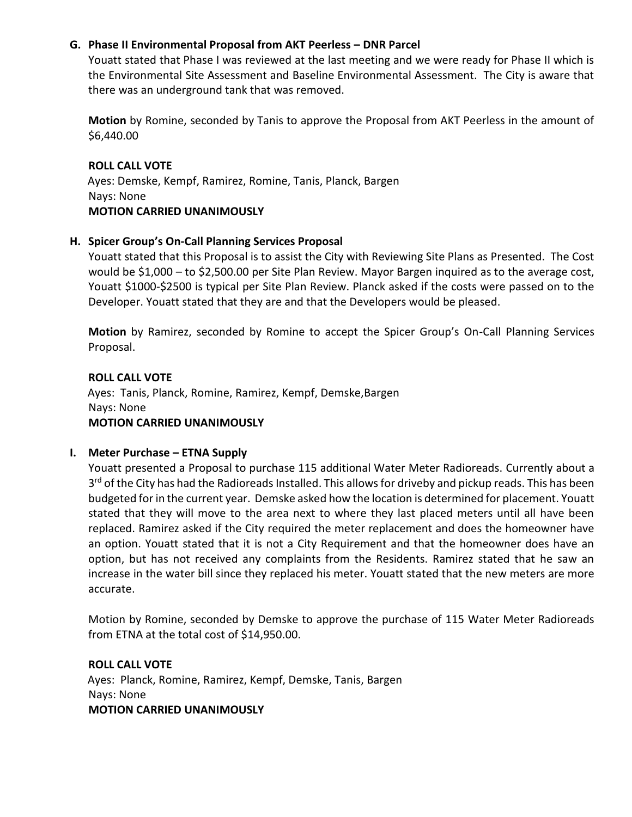# **G. Phase II Environmental Proposal from AKT Peerless – DNR Parcel**

Youatt stated that Phase I was reviewed at the last meeting and we were ready for Phase II which is the Environmental Site Assessment and Baseline Environmental Assessment. The City is aware that there was an underground tank that was removed.

**Motion** by Romine, seconded by Tanis to approve the Proposal from AKT Peerless in the amount of \$6,440.00

#### **ROLL CALL VOTE**

 Ayes: Demske, Kempf, Ramirez, Romine, Tanis, Planck, Bargen Nays: None  **MOTION CARRIED UNANIMOUSLY**

## **H. Spicer Group's On-Call Planning Services Proposal**

Youatt stated that this Proposal is to assist the City with Reviewing Site Plans as Presented. The Cost would be \$1,000 – to \$2,500.00 per Site Plan Review. Mayor Bargen inquired as to the average cost, Youatt \$1000-\$2500 is typical per Site Plan Review. Planck asked if the costs were passed on to the Developer. Youatt stated that they are and that the Developers would be pleased.

**Motion** by Ramirez, seconded by Romine to accept the Spicer Group's On-Call Planning Services Proposal.

# **ROLL CALL VOTE**

 Ayes: Tanis, Planck, Romine, Ramirez, Kempf, Demske,Bargen Nays: None  **MOTION CARRIED UNANIMOUSLY**

# **I. Meter Purchase – ETNA Supply**

Youatt presented a Proposal to purchase 115 additional Water Meter Radioreads. Currently about a 3<sup>rd</sup> of the City has had the Radioreads Installed. This allows for driveby and pickup reads. This has been budgeted for in the current year. Demske asked how the location is determined for placement. Youatt stated that they will move to the area next to where they last placed meters until all have been replaced. Ramirez asked if the City required the meter replacement and does the homeowner have an option. Youatt stated that it is not a City Requirement and that the homeowner does have an option, but has not received any complaints from the Residents. Ramirez stated that he saw an increase in the water bill since they replaced his meter. Youatt stated that the new meters are more accurate.

Motion by Romine, seconded by Demske to approve the purchase of 115 Water Meter Radioreads from ETNA at the total cost of \$14,950.00.

#### **ROLL CALL VOTE**

 Ayes: Planck, Romine, Ramirez, Kempf, Demske, Tanis, Bargen Nays: None  **MOTION CARRIED UNANIMOUSLY**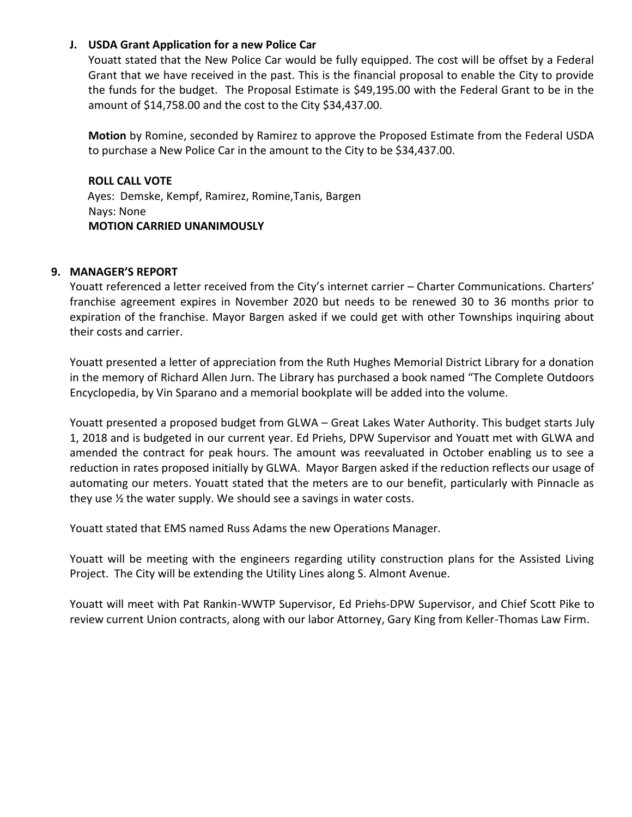# **J. USDA Grant Application for a new Police Car**

Youatt stated that the New Police Car would be fully equipped. The cost will be offset by a Federal Grant that we have received in the past. This is the financial proposal to enable the City to provide the funds for the budget. The Proposal Estimate is \$49,195.00 with the Federal Grant to be in the amount of \$14,758.00 and the cost to the City \$34,437.00.

**Motion** by Romine, seconded by Ramirez to approve the Proposed Estimate from the Federal USDA to purchase a New Police Car in the amount to the City to be \$34,437.00.

**ROLL CALL VOTE**  Ayes: Demske, Kempf, Ramirez, Romine,Tanis, Bargen Nays: None  **MOTION CARRIED UNANIMOUSLY**

# **9. MANAGER'S REPORT**

Youatt referenced a letter received from the City's internet carrier – Charter Communications. Charters' franchise agreement expires in November 2020 but needs to be renewed 30 to 36 months prior to expiration of the franchise. Mayor Bargen asked if we could get with other Townships inquiring about their costs and carrier.

Youatt presented a letter of appreciation from the Ruth Hughes Memorial District Library for a donation in the memory of Richard Allen Jurn. The Library has purchased a book named "The Complete Outdoors Encyclopedia, by Vin Sparano and a memorial bookplate will be added into the volume.

Youatt presented a proposed budget from GLWA – Great Lakes Water Authority. This budget starts July 1, 2018 and is budgeted in our current year. Ed Priehs, DPW Supervisor and Youatt met with GLWA and amended the contract for peak hours. The amount was reevaluated in October enabling us to see a reduction in rates proposed initially by GLWA. Mayor Bargen asked if the reduction reflects our usage of automating our meters. Youatt stated that the meters are to our benefit, particularly with Pinnacle as they use ½ the water supply. We should see a savings in water costs.

Youatt stated that EMS named Russ Adams the new Operations Manager.

Youatt will be meeting with the engineers regarding utility construction plans for the Assisted Living Project. The City will be extending the Utility Lines along S. Almont Avenue.

Youatt will meet with Pat Rankin-WWTP Supervisor, Ed Priehs-DPW Supervisor, and Chief Scott Pike to review current Union contracts, along with our labor Attorney, Gary King from Keller-Thomas Law Firm.